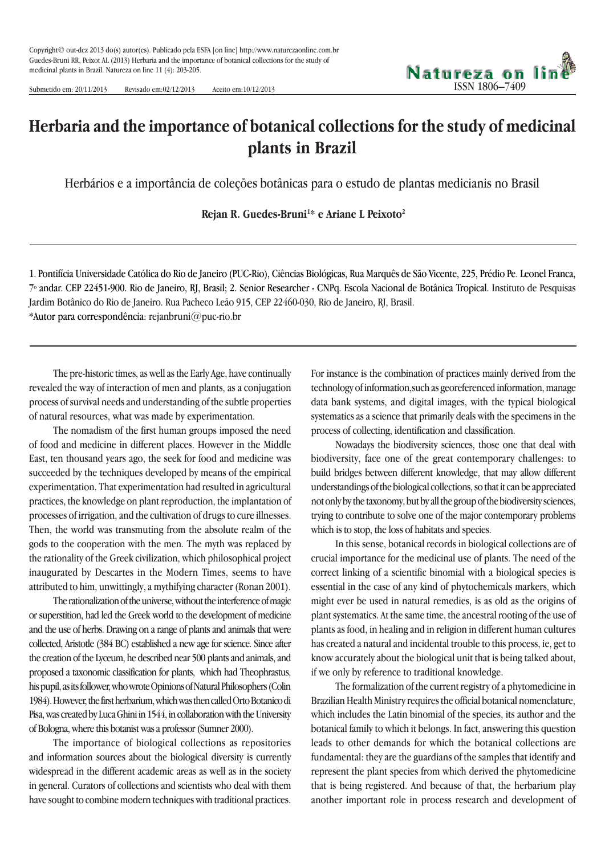

Submetido em: 20/11/2013 Revisado em:02/12/2013 Aceito em:10/12/2013

## **Herbaria and the importance of botanical collections for the study of medicinal plants in Brazil**

Herbários e a importância de coleções botânicas para o estudo de plantas medicianis no Brasil

**Rejan R. Guedes-Bruni1 \* e Ariane L Peixoto2**

1. Pontifícia Universidade Católica do Rio de Janeiro (PUC-Rio), Ciências Biológicas, Rua Marquês de São Vicente, 225, Prédio Pe. Leonel Franca, 7º andar. CEP 22451-900. Rio de Janeiro, RJ, Brasil; 2. Senior Researcher - CNPq. Escola Nacional de Botânica Tropical. Instituto de Pesquisas Jardim Botânico do Rio de Janeiro. Rua Pacheco Leão 915, CEP 22460-030, Rio de Janeiro, RJ, Brasil. \*Autor para correspondência: rejanbruni@puc-rio.br

The pre-historic times, as well as the Early Age, have continually revealed the way of interaction of men and plants, as a conjugation process of survival needs and understanding of the subtle properties of natural resources, what was made by experimentation.

The nomadism of the first human groups imposed the need of food and medicine in different places. However in the Middle East, ten thousand years ago, the seek for food and medicine was succeeded by the techniques developed by means of the empirical experimentation. That experimentation had resulted in agricultural practices, the knowledge on plant reproduction, the implantation of processes of irrigation, and the cultivation of drugs to cure illnesses. Then, the world was transmuting from the absolute realm of the gods to the cooperation with the men. The myth was replaced by the rationality of the Greek civilization, which philosophical project inaugurated by Descartes in the Modern Times, seems to have attributed to him, unwittingly, a mythifying character (Ronan 2001).

The rationalization of the universe, without the interference of magic or superstition, had led the Greek world to the development of medicine and the use of herbs. Drawing on a range of plants and animals that were collected, Aristotle (384 BC) established a new age for science. Since after the creation of the Lyceum, he described near 500 plants and animals, and proposed a taxonomic classification for plants, which had Theophrastus, his pupil, as its follower, who wrote Opinions of Natural Philosophers (Colin 1984). However, the first herbarium, which was then called Orto Botanico di Pisa, was created by Luca Ghini in 1544, in collaboration with the University of Bologna, where this botanist was a professor (Sumner 2000).

The importance of biological collections as repositories and information sources about the biological diversity is currently widespread in the different academic areas as well as in the society in general. Curators of collections and scientists who deal with them have sought to combine modern techniques with traditional practices.

For instance is the combination of practices mainly derived from the technology of information,such as georeferenced information, manage data bank systems, and digital images, with the typical biological systematics as a science that primarily deals with the specimens in the process of collecting, identification and classification.

Nowadays the biodiversity sciences, those one that deal with biodiversity, face one of the great contemporary challenges: to build bridges between different knowledge, that may allow different understandings of the biological collections, so that it can be appreciated not only by the taxonomy, but by all the group of the biodiversity sciences, trying to contribute to solve one of the major contemporary problems which is to stop, the loss of habitats and species.

In this sense, botanical records in biological collections are of crucial importance for the medicinal use of plants. The need of the correct linking of a scientific binomial with a biological species is essential in the case of any kind of phytochemicals markers, which might ever be used in natural remedies, is as old as the origins of plant systematics. At the same time, the ancestral rooting of the use of plants as food, in healing and in religion in different human cultures has created a natural and incidental trouble to this process, ie, get to know accurately about the biological unit that is being talked about, if we only by reference to traditional knowledge.

The formalization of the current registry of a phytomedicine in Brazilian Health Ministry requires the official botanical nomenclature, which includes the Latin binomial of the species, its author and the botanical family to which it belongs. In fact, answering this question leads to other demands for which the botanical collections are fundamental: they are the guardians of the samples that identify and represent the plant species from which derived the phytomedicine that is being registered. And because of that, the herbarium play another important role in process research and development of